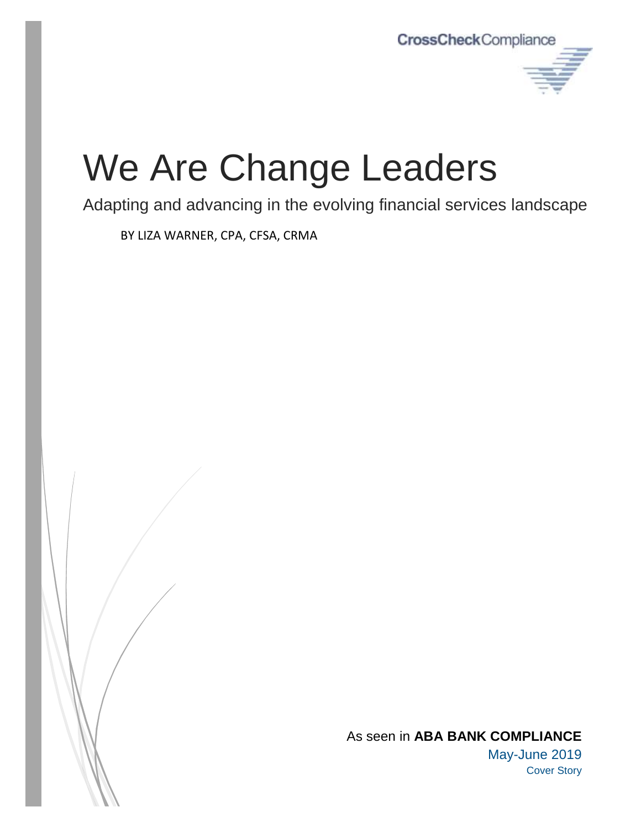

# We Are Change Leaders

Adapting and advancing in the evolving financial services landscape

BY LIZA WARNER, CPA, CFSA, CRMA

As seen in **ABA BANK COMPLIANCE** May-June 2019 Cover Story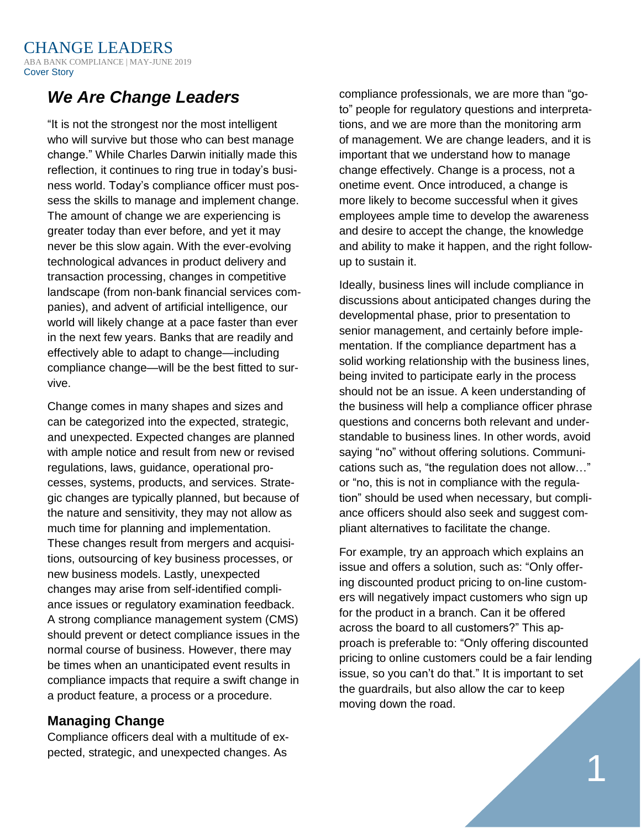## *We Are Change Leaders*

"It is not the strongest nor the most intelligent who will survive but those who can best manage change." While Charles Darwin initially made this reflection, it continues to ring true in today's business world. Today's compliance officer must possess the skills to manage and implement change. The amount of change we are experiencing is greater today than ever before, and yet it may never be this slow again. With the ever-evolving technological advances in product delivery and transaction processing, changes in competitive landscape (from non-bank financial services companies), and advent of artificial intelligence, our world will likely change at a pace faster than ever in the next few years. Banks that are readily and effectively able to adapt to change—including compliance change—will be the best fitted to survive.

Change comes in many shapes and sizes and can be categorized into the expected, strategic, and unexpected. Expected changes are planned with ample notice and result from new or revised regulations, laws, guidance, operational processes, systems, products, and services. Strategic changes are typically planned, but because of the nature and sensitivity, they may not allow as much time for planning and implementation. These changes result from mergers and acquisitions, outsourcing of key business processes, or new business models. Lastly, unexpected changes may arise from self-identified compliance issues or regulatory examination feedback. A strong compliance management system (CMS) should prevent or detect compliance issues in the normal course of business. However, there may be times when an unanticipated event results in compliance impacts that require a swift change in a product feature, a process or a procedure.

#### **Managing Change**

Compliance officers deal with a multitude of expected, strategic, and unexpected changes. As

compliance professionals, we are more than "goto" people for regulatory questions and interpretations, and we are more than the monitoring arm of management. We are change leaders, and it is important that we understand how to manage change effectively. Change is a process, not a onetime event. Once introduced, a change is more likely to become successful when it gives employees ample time to develop the awareness and desire to accept the change, the knowledge and ability to make it happen, and the right followup to sustain it.

Ideally, business lines will include compliance in discussions about anticipated changes during the developmental phase, prior to presentation to senior management, and certainly before implementation. If the compliance department has a solid working relationship with the business lines, being invited to participate early in the process should not be an issue. A keen understanding of the business will help a compliance officer phrase questions and concerns both relevant and understandable to business lines. In other words, avoid saying "no" without offering solutions. Communications such as, "the regulation does not allow…" or "no, this is not in compliance with the regulation" should be used when necessary, but compliance officers should also seek and suggest compliant alternatives to facilitate the change.

For example, try an approach which explains an issue and offers a solution, such as: "Only offering discounted product pricing to on-line customers will negatively impact customers who sign up for the product in a branch. Can it be offered across the board to all customers?" This approach is preferable to: "Only offering discounted pricing to online customers could be a fair lending issue, so you can't do that." It is important to set the guardrails, but also allow the car to keep moving down the road.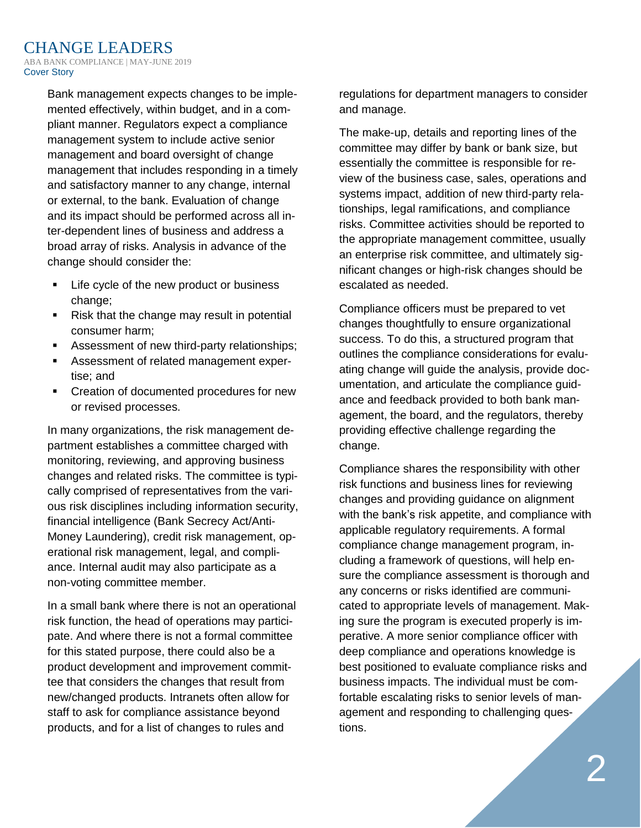Bank management expects changes to be implemented effectively, within budget, and in a compliant manner. Regulators expect a compliance management system to include active senior management and board oversight of change management that includes responding in a timely and satisfactory manner to any change, internal or external, to the bank. Evaluation of change and its impact should be performed across all inter-dependent lines of business and address a broad array of risks. Analysis in advance of the change should consider the:

- Life cycle of the new product or business change;
- Risk that the change may result in potential consumer harm;
- Assessment of new third-party relationships;
- Assessment of related management expertise; and
- Creation of documented procedures for new or revised processes.

In many organizations, the risk management department establishes a committee charged with monitoring, reviewing, and approving business changes and related risks. The committee is typically comprised of representatives from the various risk disciplines including information security, financial intelligence (Bank Secrecy Act/Anti-Money Laundering), credit risk management, operational risk management, legal, and compliance. Internal audit may also participate as a non-voting committee member.

In a small bank where there is not an operational risk function, the head of operations may participate. And where there is not a formal committee for this stated purpose, there could also be a product development and improvement committee that considers the changes that result from new/changed products. Intranets often allow for staff to ask for compliance assistance beyond products, and for a list of changes to rules and

regulations for department managers to consider and manage.

The make-up, details and reporting lines of the committee may differ by bank or bank size, but essentially the committee is responsible for review of the business case, sales, operations and systems impact, addition of new third-party relationships, legal ramifications, and compliance risks. Committee activities should be reported to the appropriate management committee, usually an enterprise risk committee, and ultimately significant changes or high-risk changes should be escalated as needed.

Compliance officers must be prepared to vet changes thoughtfully to ensure organizational success. To do this, a structured program that outlines the compliance considerations for evaluating change will guide the analysis, provide documentation, and articulate the compliance guidance and feedback provided to both bank management, the board, and the regulators, thereby providing effective challenge regarding the change.

Compliance shares the responsibility with other risk functions and business lines for reviewing changes and providing guidance on alignment with the bank's risk appetite, and compliance with applicable regulatory requirements. A formal compliance change management program, including a framework of questions, will help ensure the compliance assessment is thorough and any concerns or risks identified are communicated to appropriate levels of management. Making sure the program is executed properly is imperative. A more senior compliance officer with deep compliance and operations knowledge is best positioned to evaluate compliance risks and business impacts. The individual must be comfortable escalating risks to senior levels of management and responding to challenging questions.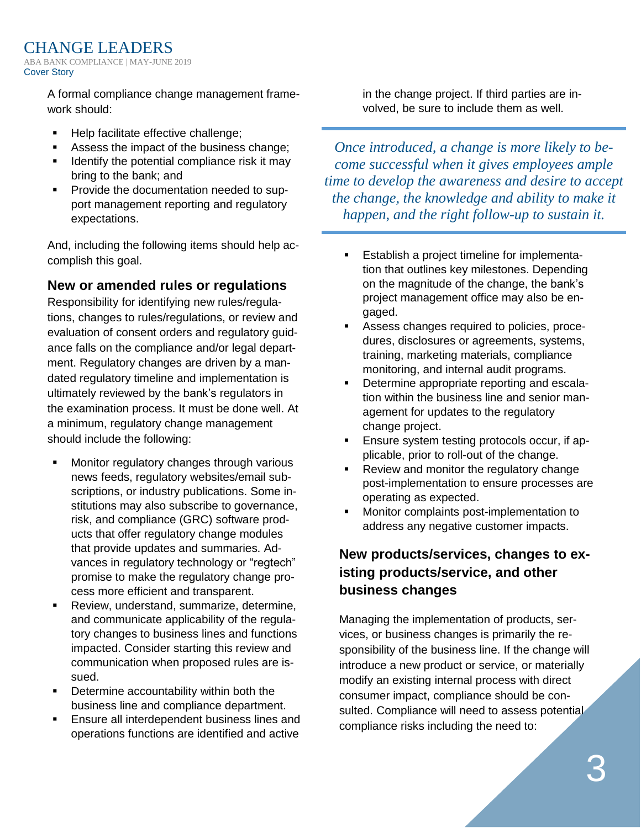> A formal compliance change management framework should:

- Help facilitate effective challenge;
- Assess the impact of the business change;
- Identify the potential compliance risk it may bring to the bank; and
- Provide the documentation needed to support management reporting and regulatory expectations.

And, including the following items should help accomplish this goal.

#### **New or amended rules or regulations**

Responsibility for identifying new rules/regulations, changes to rules/regulations, or review and evaluation of consent orders and regulatory guidance falls on the compliance and/or legal department. Regulatory changes are driven by a mandated regulatory timeline and implementation is ultimately reviewed by the bank's regulators in the examination process. It must be done well. At a minimum, regulatory change management should include the following:

- Monitor regulatory changes through various news feeds, regulatory websites/email subscriptions, or industry publications. Some institutions may also subscribe to governance, risk, and compliance (GRC) software products that offer regulatory change modules that provide updates and summaries. Advances in regulatory technology or "regtech" promise to make the regulatory change process more efficient and transparent.
- Review, understand, summarize, determine, and communicate applicability of the regulatory changes to business lines and functions impacted. Consider starting this review and communication when proposed rules are issued.
- Determine accountability within both the business line and compliance department.
- Ensure all interdependent business lines and operations functions are identified and active

in the change project. If third parties are involved, be sure to include them as well.

*Once introduced, a change is more likely to become successful when it gives employees ample time to develop the awareness and desire to accept the change, the knowledge and ability to make it happen, and the right follow-up to sustain it.*

- Establish a project timeline for implementation that outlines key milestones. Depending on the magnitude of the change, the bank's project management office may also be engaged.
- Assess changes required to policies, procedures, disclosures or agreements, systems, training, marketing materials, compliance monitoring, and internal audit programs.
- **•** Determine appropriate reporting and escalation within the business line and senior management for updates to the regulatory change project.
- Ensure system testing protocols occur, if applicable, prior to roll-out of the change.
- Review and monitor the regulatory change post-implementation to ensure processes are operating as expected.
- Monitor complaints post-implementation to address any negative customer impacts.

## **New products/services, changes to existing products/service, and other business changes**

Managing the implementation of products, services, or business changes is primarily the responsibility of the business line. If the change will introduce a new product or service, or materially modify an existing internal process with direct consumer impact, compliance should be consulted. Compliance will need to assess potential compliance risks including the need to: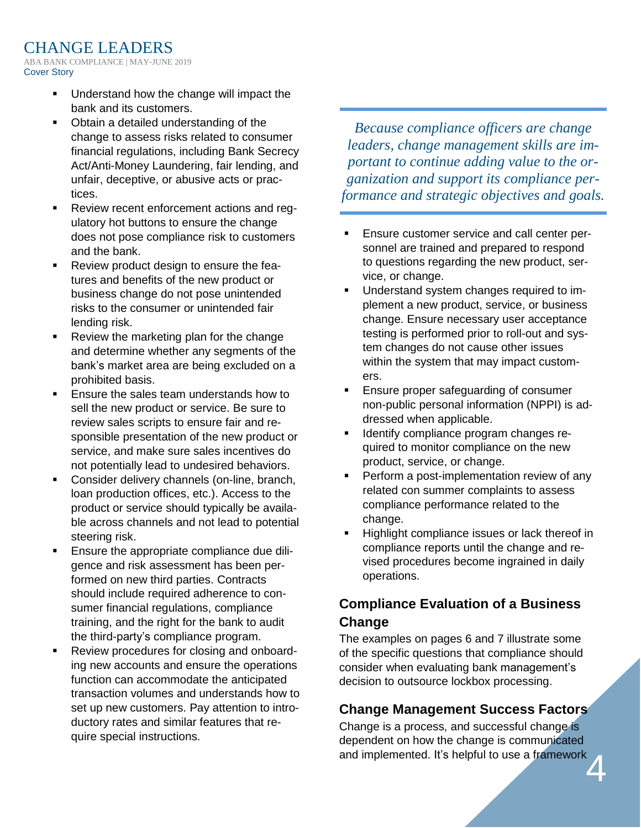- Understand how the change will impact the bank and its customers.
- Obtain a detailed understanding of the change to assess risks related to consumer financial regulations, including Bank Secrecy Act/Anti-Money Laundering, fair lending, and unfair, deceptive, or abusive acts or practices.
- Review recent enforcement actions and regulatory hot buttons to ensure the change does not pose compliance risk to customers and the bank.
- Review product design to ensure the features and benefits of the new product or business change do not pose unintended risks to the consumer or unintended fair lending risk.
- Review the marketing plan for the change and determine whether any segments of the bank's market area are being excluded on a prohibited basis.
- Ensure the sales team understands how to sell the new product or service. Be sure to review sales scripts to ensure fair and responsible presentation of the new product or service, and make sure sales incentives do not potentially lead to undesired behaviors.
- Consider delivery channels (on-line, branch, loan production offices, etc.). Access to the product or service should typically be available across channels and not lead to potential steering risk.
- Ensure the appropriate compliance due diligence and risk assessment has been performed on new third parties. Contracts should include required adherence to consumer financial regulations, compliance training, and the right for the bank to audit the third-party's compliance program.
- Review procedures for closing and onboarding new accounts and ensure the operations function can accommodate the anticipated transaction volumes and understands how to set up new customers. Pay attention to introductory rates and similar features that require special instructions.

*Because compliance officers are change leaders, change management skills are important to continue adding value to the organization and support its compliance performance and strategic objectives and goals.*

- **Ensure customer service and call center per**sonnel are trained and prepared to respond to questions regarding the new product, service, or change.
- Understand system changes required to implement a new product, service, or business change. Ensure necessary user acceptance testing is performed prior to roll-out and system changes do not cause other issues within the system that may impact customers.
- **Ensure proper safeguarding of consumer** non-public personal information (NPPI) is addressed when applicable.
- Identify compliance program changes required to monitor compliance on the new product, service, or change.
- Perform a post-implementation review of any related con summer complaints to assess compliance performance related to the change.
- Highlight compliance issues or lack thereof in compliance reports until the change and revised procedures become ingrained in daily operations.

## **Compliance Evaluation of a Business Change**

The examples on pages 6 and 7 illustrate some of the specific questions that compliance should consider when evaluating bank management's decision to outsource lockbox processing.

#### **Change Management Success Factors**

4 Change is a process, and successful change is dependent on how the change is communicated and implemented. It's helpful to use a framework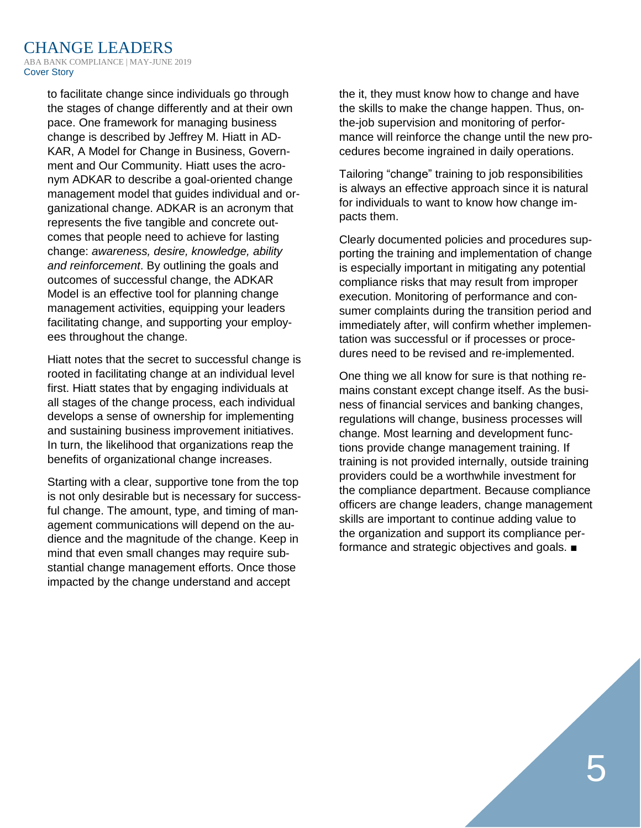to facilitate change since individuals go through the stages of change differently and at their own pace. One framework for managing business change is described by Jeffrey M. Hiatt in AD-KAR, A Model for Change in Business, Government and Our Community. Hiatt uses the acronym ADKAR to describe a goal-oriented change management model that guides individual and organizational change. ADKAR is an acronym that represents the five tangible and concrete outcomes that people need to achieve for lasting change: *awareness, desire, knowledge, ability and reinforcement*. By outlining the goals and outcomes of successful change, the ADKAR Model is an effective tool for planning change management activities, equipping your leaders facilitating change, and supporting your employees throughout the change.

Hiatt notes that the secret to successful change is rooted in facilitating change at an individual level first. Hiatt states that by engaging individuals at all stages of the change process, each individual develops a sense of ownership for implementing and sustaining business improvement initiatives. In turn, the likelihood that organizations reap the benefits of organizational change increases.

Starting with a clear, supportive tone from the top is not only desirable but is necessary for successful change. The amount, type, and timing of management communications will depend on the audience and the magnitude of the change. Keep in mind that even small changes may require substantial change management efforts. Once those impacted by the change understand and accept

the it, they must know how to change and have the skills to make the change happen. Thus, onthe-job supervision and monitoring of performance will reinforce the change until the new procedures become ingrained in daily operations.

Tailoring "change" training to job responsibilities is always an effective approach since it is natural for individuals to want to know how change impacts them.

Clearly documented policies and procedures supporting the training and implementation of change is especially important in mitigating any potential compliance risks that may result from improper execution. Monitoring of performance and consumer complaints during the transition period and immediately after, will confirm whether implementation was successful or if processes or procedures need to be revised and re-implemented.

One thing we all know for sure is that nothing remains constant except change itself. As the business of financial services and banking changes, regulations will change, business processes will change. Most learning and development functions provide change management training. If training is not provided internally, outside training providers could be a worthwhile investment for the compliance department. Because compliance officers are change leaders, change management skills are important to continue adding value to the organization and support its compliance performance and strategic objectives and goals. ■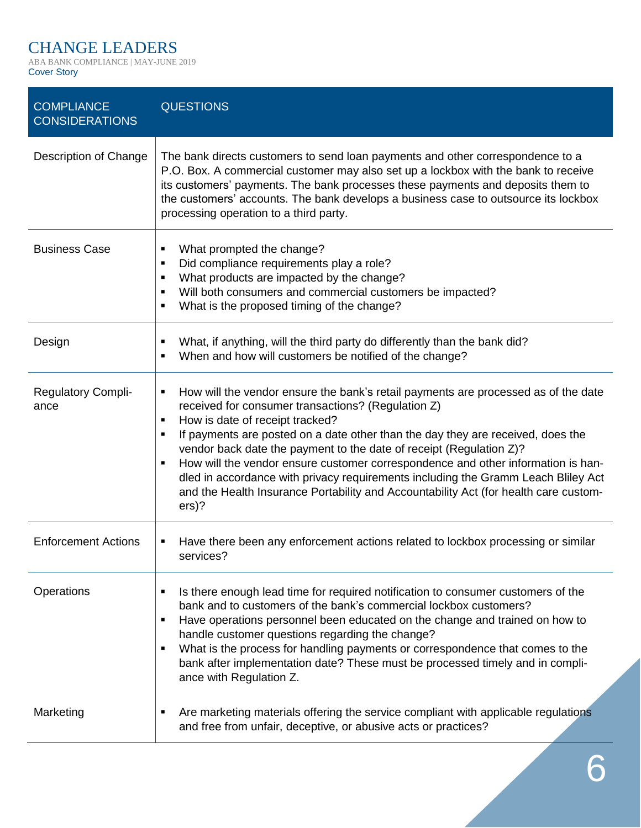## CHANGE LEADERS

ABA BANK COMPLIANCE | MAY-JUNE 2019 Cover Story

| <b>COMPLIANCE</b><br><b>CONSIDERATIONS</b> | <b>QUESTIONS</b>                                                                                                                                                                                                                                                                                                                                                                                                                                                                                                                                                                                                            |
|--------------------------------------------|-----------------------------------------------------------------------------------------------------------------------------------------------------------------------------------------------------------------------------------------------------------------------------------------------------------------------------------------------------------------------------------------------------------------------------------------------------------------------------------------------------------------------------------------------------------------------------------------------------------------------------|
| Description of Change                      | The bank directs customers to send loan payments and other correspondence to a<br>P.O. Box. A commercial customer may also set up a lockbox with the bank to receive<br>its customers' payments. The bank processes these payments and deposits them to<br>the customers' accounts. The bank develops a business case to outsource its lockbox<br>processing operation to a third party.                                                                                                                                                                                                                                    |
| <b>Business Case</b>                       | What prompted the change?<br>٠<br>Did compliance requirements play a role?<br>$\blacksquare$<br>What products are impacted by the change?<br>$\blacksquare$<br>Will both consumers and commercial customers be impacted?<br>$\blacksquare$<br>What is the proposed timing of the change?<br>٠                                                                                                                                                                                                                                                                                                                               |
| Design                                     | What, if anything, will the third party do differently than the bank did?<br>When and how will customers be notified of the change?                                                                                                                                                                                                                                                                                                                                                                                                                                                                                         |
| <b>Regulatory Compli-</b><br>ance          | How will the vendor ensure the bank's retail payments are processed as of the date<br>٠<br>received for consumer transactions? (Regulation Z)<br>How is date of receipt tracked?<br>п<br>If payments are posted on a date other than the day they are received, does the<br>vendor back date the payment to the date of receipt (Regulation Z)?<br>How will the vendor ensure customer correspondence and other information is han-<br>dled in accordance with privacy requirements including the Gramm Leach Bliley Act<br>and the Health Insurance Portability and Accountability Act (for health care custom-<br>$ers$ ? |
| <b>Enforcement Actions</b>                 | Have there been any enforcement actions related to lockbox processing or similar<br>services?                                                                                                                                                                                                                                                                                                                                                                                                                                                                                                                               |
| Operations                                 | Is there enough lead time for required notification to consumer customers of the<br>bank and to customers of the bank's commercial lockbox customers?<br>Have operations personnel been educated on the change and trained on how to<br>٠<br>handle customer questions regarding the change?<br>What is the process for handling payments or correspondence that comes to the<br>٠<br>bank after implementation date? These must be processed timely and in compli-<br>ance with Regulation Z.                                                                                                                              |
| Marketing                                  | Are marketing materials offering the service compliant with applicable regulations<br>and free from unfair, deceptive, or abusive acts or practices?                                                                                                                                                                                                                                                                                                                                                                                                                                                                        |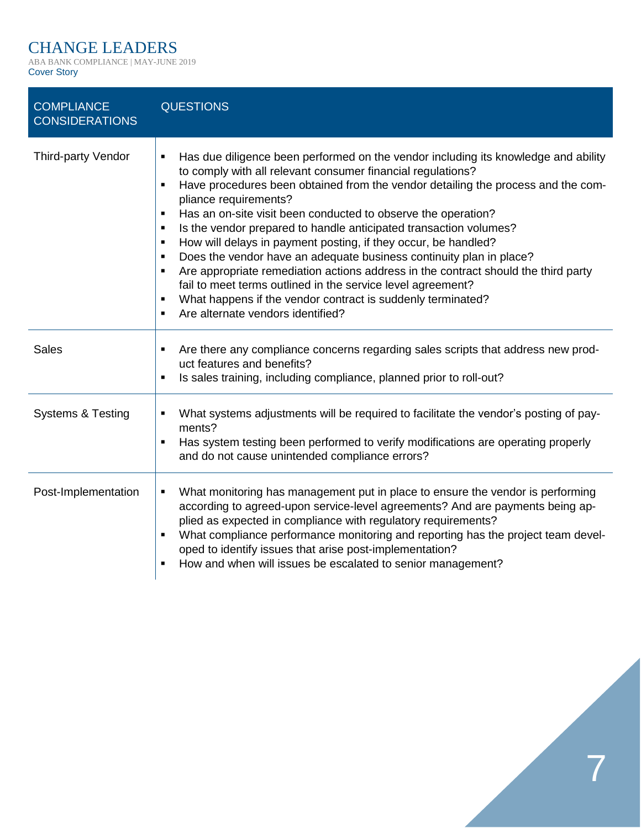## CHANGE LEADERS

ABA BANK COMPLIANCE | MAY-JUNE 2019 Cover Story

| <b>COMPLIANCE</b><br><b>CONSIDERATIONS</b> | <b>QUESTIONS</b>                                                                                                                                                                                                                                                                                                                                                                                                                                                                                                                                                                                                                                                                                                                                                                                                                                                                                                |
|--------------------------------------------|-----------------------------------------------------------------------------------------------------------------------------------------------------------------------------------------------------------------------------------------------------------------------------------------------------------------------------------------------------------------------------------------------------------------------------------------------------------------------------------------------------------------------------------------------------------------------------------------------------------------------------------------------------------------------------------------------------------------------------------------------------------------------------------------------------------------------------------------------------------------------------------------------------------------|
| <b>Third-party Vendor</b>                  | Has due diligence been performed on the vendor including its knowledge and ability<br>٠<br>to comply with all relevant consumer financial regulations?<br>Have procedures been obtained from the vendor detailing the process and the com-<br>$\blacksquare$<br>pliance requirements?<br>Has an on-site visit been conducted to observe the operation?<br>$\blacksquare$<br>Is the vendor prepared to handle anticipated transaction volumes?<br>п<br>How will delays in payment posting, if they occur, be handled?<br>$\blacksquare$<br>Does the vendor have an adequate business continuity plan in place?<br>$\blacksquare$<br>Are appropriate remediation actions address in the contract should the third party<br>$\blacksquare$<br>fail to meet terms outlined in the service level agreement?<br>What happens if the vendor contract is suddenly terminated?<br>Are alternate vendors identified?<br>٠ |
| <b>Sales</b>                               | Are there any compliance concerns regarding sales scripts that address new prod-<br>٠<br>uct features and benefits?<br>Is sales training, including compliance, planned prior to roll-out?                                                                                                                                                                                                                                                                                                                                                                                                                                                                                                                                                                                                                                                                                                                      |
| <b>Systems &amp; Testing</b>               | What systems adjustments will be required to facilitate the vendor's posting of pay-<br>ments?<br>Has system testing been performed to verify modifications are operating properly<br>$\blacksquare$<br>and do not cause unintended compliance errors?                                                                                                                                                                                                                                                                                                                                                                                                                                                                                                                                                                                                                                                          |
| Post-Implementation                        | What monitoring has management put in place to ensure the vendor is performing<br>٠<br>according to agreed-upon service-level agreements? And are payments being ap-<br>plied as expected in compliance with regulatory requirements?<br>What compliance performance monitoring and reporting has the project team devel-<br>oped to identify issues that arise post-implementation?<br>How and when will issues be escalated to senior management?<br>٠                                                                                                                                                                                                                                                                                                                                                                                                                                                        |

7